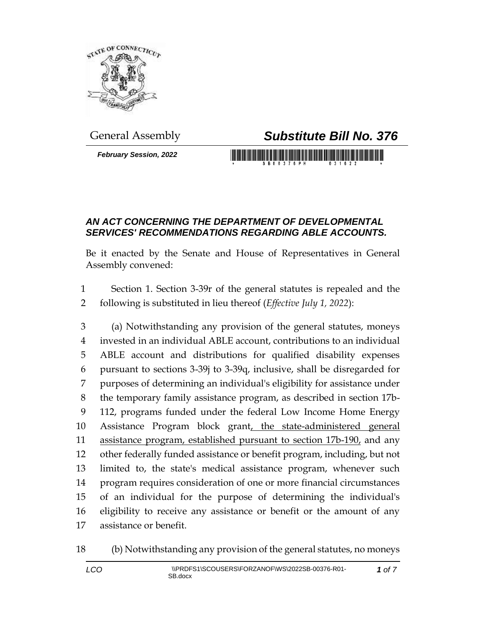

*February Session, 2022*

## General Assembly *Substitute Bill No. 376*

## *AN ACT CONCERNING THE DEPARTMENT OF DEVELOPMENTAL SERVICES' RECOMMENDATIONS REGARDING ABLE ACCOUNTS.*

Be it enacted by the Senate and House of Representatives in General Assembly convened:

 Section 1. Section 3-39r of the general statutes is repealed and the following is substituted in lieu thereof (*Effective July 1, 2022*):

 (a) Notwithstanding any provision of the general statutes, moneys invested in an individual ABLE account, contributions to an individual ABLE account and distributions for qualified disability expenses pursuant to sections 3-39j to 3-39q, inclusive, shall be disregarded for purposes of determining an individual's eligibility for assistance under the temporary family assistance program, as described in section 17b- 112, programs funded under the federal Low Income Home Energy 10 Assistance Program block grant, the state-administered general 11 assistance program, established pursuant to section 17b-190, and any other federally funded assistance or benefit program, including, but not limited to, the state's medical assistance program, whenever such program requires consideration of one or more financial circumstances of an individual for the purpose of determining the individual's eligibility to receive any assistance or benefit or the amount of any assistance or benefit.

(b) Notwithstanding any provision of the general statutes, no moneys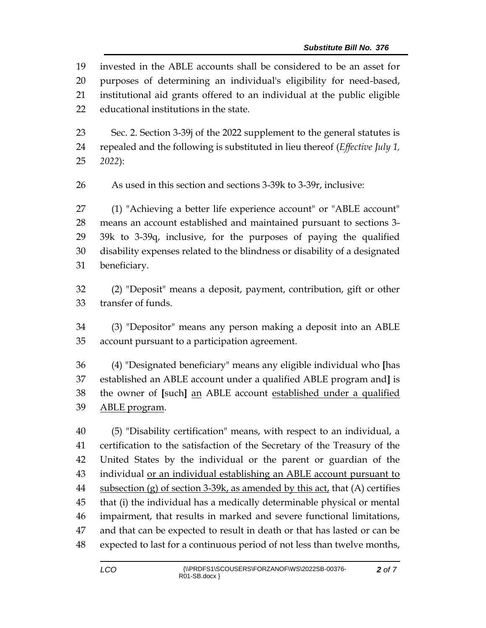invested in the ABLE accounts shall be considered to be an asset for purposes of determining an individual's eligibility for need-based, institutional aid grants offered to an individual at the public eligible educational institutions in the state.

 Sec. 2. Section 3-39j of the 2022 supplement to the general statutes is repealed and the following is substituted in lieu thereof (*Effective July 1, 2022*):

As used in this section and sections 3-39k to 3-39r, inclusive:

 (1) "Achieving a better life experience account" or "ABLE account" means an account established and maintained pursuant to sections 3- 39k to 3-39q, inclusive, for the purposes of paying the qualified disability expenses related to the blindness or disability of a designated beneficiary.

 (2) "Deposit" means a deposit, payment, contribution, gift or other transfer of funds.

 (3) "Depositor" means any person making a deposit into an ABLE account pursuant to a participation agreement.

 (4) "Designated beneficiary" means any eligible individual who **[**has established an ABLE account under a qualified ABLE program and**]** is the owner of **[**such**]** an ABLE account established under a qualified ABLE program.

 (5) "Disability certification" means, with respect to an individual, a certification to the satisfaction of the Secretary of the Treasury of the United States by the individual or the parent or guardian of the individual or an individual establishing an ABLE account pursuant to subsection (g) of section 3-39k, as amended by this act, that (A) certifies that (i) the individual has a medically determinable physical or mental impairment, that results in marked and severe functional limitations, and that can be expected to result in death or that has lasted or can be expected to last for a continuous period of not less than twelve months,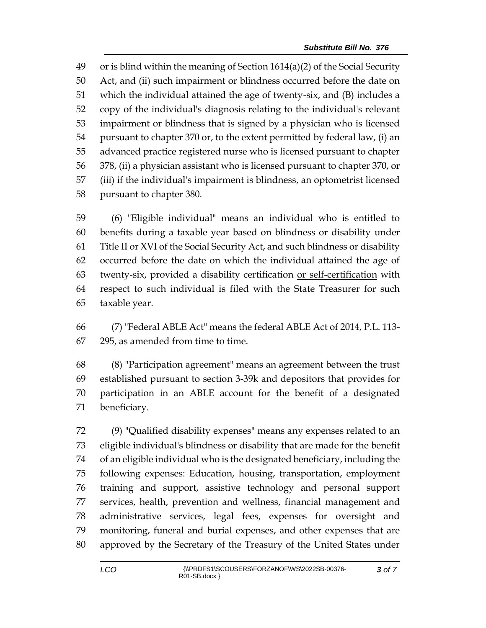or is blind within the meaning of Section 1614(a)(2) of the Social Security Act, and (ii) such impairment or blindness occurred before the date on which the individual attained the age of twenty-six, and (B) includes a copy of the individual's diagnosis relating to the individual's relevant impairment or blindness that is signed by a physician who is licensed pursuant to chapter 370 or, to the extent permitted by federal law, (i) an advanced practice registered nurse who is licensed pursuant to chapter 378, (ii) a physician assistant who is licensed pursuant to chapter 370, or (iii) if the individual's impairment is blindness, an optometrist licensed pursuant to chapter 380.

 (6) "Eligible individual" means an individual who is entitled to benefits during a taxable year based on blindness or disability under Title II or XVI of the Social Security Act, and such blindness or disability occurred before the date on which the individual attained the age of twenty-six, provided a disability certification or self-certification with respect to such individual is filed with the State Treasurer for such taxable year.

 (7) "Federal ABLE Act" means the federal ABLE Act of 2014, P.L. 113- 295, as amended from time to time.

 (8) "Participation agreement" means an agreement between the trust established pursuant to section 3-39k and depositors that provides for participation in an ABLE account for the benefit of a designated beneficiary.

 (9) "Qualified disability expenses" means any expenses related to an eligible individual's blindness or disability that are made for the benefit of an eligible individual who is the designated beneficiary, including the following expenses: Education, housing, transportation, employment training and support, assistive technology and personal support services, health, prevention and wellness, financial management and administrative services, legal fees, expenses for oversight and monitoring, funeral and burial expenses, and other expenses that are approved by the Secretary of the Treasury of the United States under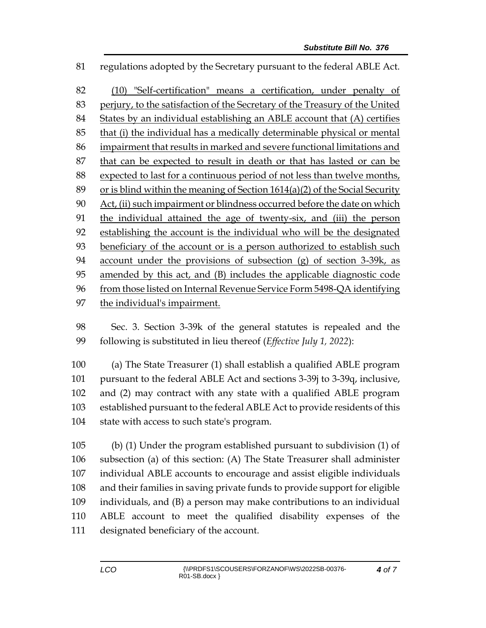regulations adopted by the Secretary pursuant to the federal ABLE Act.

 (10) "Self-certification" means a certification, under penalty of perjury, to the satisfaction of the Secretary of the Treasury of the United States by an individual establishing an ABLE account that (A) certifies that (i) the individual has a medically determinable physical or mental impairment that results in marked and severe functional limitations and that can be expected to result in death or that has lasted or can be expected to last for a continuous period of not less than twelve months, or is blind within the meaning of Section 1614(a)(2) of the Social Security Act, (ii) such impairment or blindness occurred before the date on which 91 the individual attained the age of twenty-six, and (iii) the person establishing the account is the individual who will be the designated beneficiary of the account or is a person authorized to establish such account under the provisions of subsection (g) of section 3-39k, as amended by this act, and (B) includes the applicable diagnostic code from those listed on Internal Revenue Service Form 5498-QA identifying the individual's impairment.

 Sec. 3. Section 3-39k of the general statutes is repealed and the following is substituted in lieu thereof (*Effective July 1, 2022*):

 (a) The State Treasurer (1) shall establish a qualified ABLE program pursuant to the federal ABLE Act and sections 3-39j to 3-39q, inclusive, and (2) may contract with any state with a qualified ABLE program established pursuant to the federal ABLE Act to provide residents of this state with access to such state's program.

 (b) (1) Under the program established pursuant to subdivision (1) of subsection (a) of this section: (A) The State Treasurer shall administer individual ABLE accounts to encourage and assist eligible individuals and their families in saving private funds to provide support for eligible individuals, and (B) a person may make contributions to an individual ABLE account to meet the qualified disability expenses of the designated beneficiary of the account.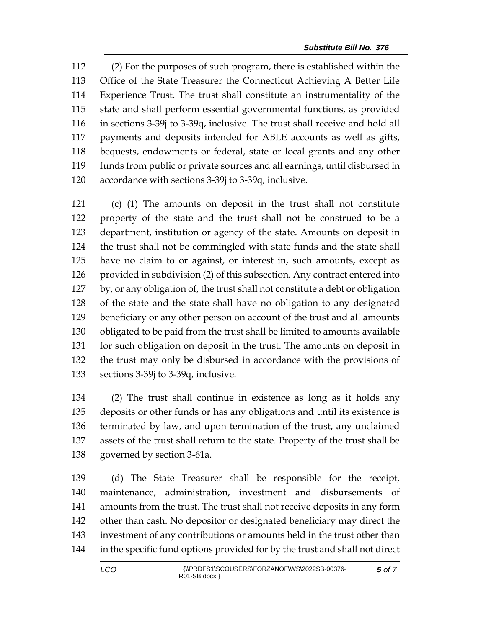(2) For the purposes of such program, there is established within the Office of the State Treasurer the Connecticut Achieving A Better Life Experience Trust. The trust shall constitute an instrumentality of the state and shall perform essential governmental functions, as provided in sections 3-39j to 3-39q, inclusive. The trust shall receive and hold all payments and deposits intended for ABLE accounts as well as gifts, bequests, endowments or federal, state or local grants and any other funds from public or private sources and all earnings, until disbursed in accordance with sections 3-39j to 3-39q, inclusive.

 (c) (1) The amounts on deposit in the trust shall not constitute property of the state and the trust shall not be construed to be a department, institution or agency of the state. Amounts on deposit in the trust shall not be commingled with state funds and the state shall have no claim to or against, or interest in, such amounts, except as provided in subdivision (2) of this subsection. Any contract entered into by, or any obligation of, the trust shall not constitute a debt or obligation of the state and the state shall have no obligation to any designated beneficiary or any other person on account of the trust and all amounts obligated to be paid from the trust shall be limited to amounts available for such obligation on deposit in the trust. The amounts on deposit in the trust may only be disbursed in accordance with the provisions of sections 3-39j to 3-39q, inclusive.

 (2) The trust shall continue in existence as long as it holds any deposits or other funds or has any obligations and until its existence is terminated by law, and upon termination of the trust, any unclaimed assets of the trust shall return to the state. Property of the trust shall be governed by section 3-61a.

 (d) The State Treasurer shall be responsible for the receipt, maintenance, administration, investment and disbursements of amounts from the trust. The trust shall not receive deposits in any form other than cash. No depositor or designated beneficiary may direct the investment of any contributions or amounts held in the trust other than in the specific fund options provided for by the trust and shall not direct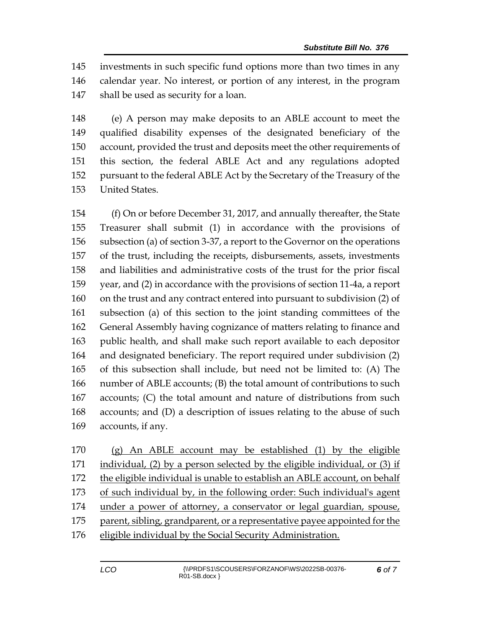investments in such specific fund options more than two times in any calendar year. No interest, or portion of any interest, in the program shall be used as security for a loan.

 (e) A person may make deposits to an ABLE account to meet the qualified disability expenses of the designated beneficiary of the account, provided the trust and deposits meet the other requirements of this section, the federal ABLE Act and any regulations adopted pursuant to the federal ABLE Act by the Secretary of the Treasury of the United States.

 (f) On or before December 31, 2017, and annually thereafter, the State Treasurer shall submit (1) in accordance with the provisions of subsection (a) of section 3-37, a report to the Governor on the operations of the trust, including the receipts, disbursements, assets, investments and liabilities and administrative costs of the trust for the prior fiscal year, and (2) in accordance with the provisions of section 11-4a, a report on the trust and any contract entered into pursuant to subdivision (2) of subsection (a) of this section to the joint standing committees of the General Assembly having cognizance of matters relating to finance and public health, and shall make such report available to each depositor and designated beneficiary. The report required under subdivision (2) of this subsection shall include, but need not be limited to: (A) The number of ABLE accounts; (B) the total amount of contributions to such accounts; (C) the total amount and nature of distributions from such accounts; and (D) a description of issues relating to the abuse of such accounts, if any.

 (g) An ABLE account may be established (1) by the eligible individual, (2) by a person selected by the eligible individual, or (3) if 172 the eligible individual is unable to establish an ABLE account, on behalf of such individual by, in the following order: Such individual's agent under a power of attorney, a conservator or legal guardian, spouse, parent, sibling, grandparent, or a representative payee appointed for the eligible individual by the Social Security Administration.